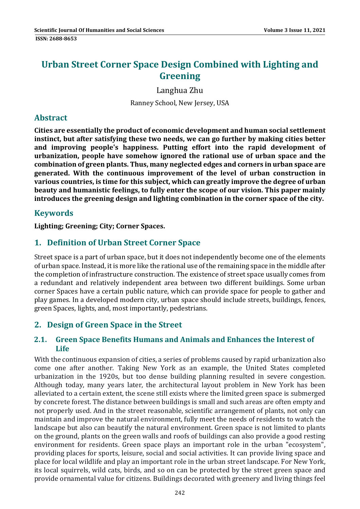# **Urban Street Corner Space Design Combined with Lighting and Greening**

Langhua Zhu

Ranney School, New Jersey, USA

#### **Abstract**

**Cities are essentially the product of economic development and human social settlement instinct, but after satisfying these two needs, we can go further by making cities better and improving people's happiness. Putting effort into the rapid development of urbanization, people have somehow ignored the rational use of urban space and the combination of green plants. Thus, many neglected edges and corners in urban space are generated. With the continuous improvement of the level of urban construction in various countries, is time for this subject, which can greatly improve the degree of urban beauty and humanistic feelings, to fully enter the scope of our vision. This paper mainly introduces the greening design and lighting combination in the corner space of the city.**

### **Keywords**

**Lighting; Greening; City; Corner Spaces.**

## **1. Definition of Urban Street Corner Space**

Street space is a part of urban space, but it does not independently become one of the elements of urban space. Instead, it is more like the rational use of the remaining space in the middle after the completion of infrastructure construction. The existence of street space usually comes from a redundant and relatively independent area between two different buildings. Some urban corner Spaces have a certain public nature, which can provide space for people to gather and play games. In a developed modern city, urban space should include streets, buildings, fences, green Spaces, lights, and, most importantly, pedestrians.

### **2. Design of Green Space in the Street**

#### **2.1. Green Space Benefits Humans and Animals and Enhances the Interest of Life**

With the continuous expansion of cities, a series of problems caused by rapid urbanization also come one after another. Taking New York as an example, the United States completed urbanization in the 1920s, but too dense building planning resulted in severe congestion. Although today, many years later, the architectural layout problem in New York has been alleviated to a certain extent, the scene still exists where the limited green space is submerged by concrete forest. The distance between buildings is small and such areas are often empty and not properly used. And in the street reasonable, scientific arrangement of plants, not only can maintain and improve the natural environment, fully meet the needs of residents to watch the landscape but also can beautify the natural environment. Green space is not limited to plants on the ground, plants on the green walls and roofs of buildings can also provide a good resting environment for residents. Green space plays an important role in the urban "ecosystem", providing places for sports, leisure, social and social activities. It can provide living space and place for local wildlife and play an important role in the urban street landscape. For New York, its local squirrels, wild cats, birds, and so on can be protected by the street green space and provide ornamental value for citizens. Buildings decorated with greenery and living things feel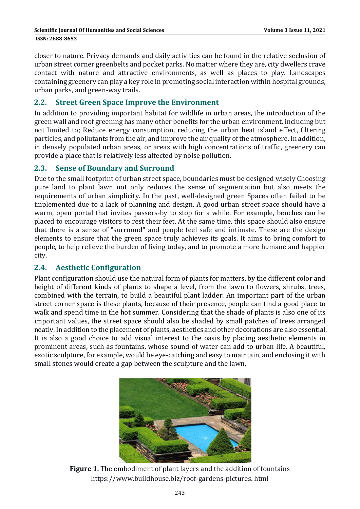closer to nature. Privacy demands and daily activities can be found in the relative seclusion of urban street corner greenbelts and pocket parks. No matter where they are, city dwellers crave contact with nature and attractive environments, as well as places to play. Landscapes containing greenery can play a key role in promoting social interaction within hospital grounds, urban parks, and green-way trails.

#### **2.2. Street Green Space Improve the Environment**

In addition to providing important habitat for wildlife in urban areas, the introduction of the green wall and roof greening has many other benefits for the urban environment, including but not limited to: Reduce energy consumption, reducing the urban heat island effect, filtering particles, and pollutants from the air, and improve the air quality of the atmosphere. In addition, in densely populated urban areas, or areas with high concentrations of traffic, greenery can provide a place that is relatively less affected by noise pollution.

#### **2.3. Sense of Boundary and Surround**

Due to the small footprint of urban street space, boundaries must be designed wisely Choosing pure land to plant lawn not only reduces the sense of segmentation but also meets the requirements of urban simplicity. In the past, well-designed green Spaces often failed to be implemented due to a lack of planning and design. A good urban street space should have a warm, open portal that invites passers-by to stop for a while. For example, benches can be placed to encourage visitors to rest their feet. At the same time, this space should also ensure that there is a sense of "surround" and people feel safe and intimate. These are the design elements to ensure that the green space truly achieves its goals. It aims to bring comfort to people, to help relieve the burden of living today, and to promote a more humane and happier city. 

#### **2.4. Aesthetic Configuration**

Plant configuration should use the natural form of plants for matters, by the different color and height of different kinds of plants to shape a level, from the lawn to flowers, shrubs, trees, combined with the terrain, to build a beautiful plant ladder. An important part of the urban street corner space is these plants, because of their presence, people can find a good place to walk and spend time in the hot summer. Considering that the shade of plants is also one of its important values, the street space should also be shaded by small patches of trees arranged neatly. In addition to the placement of plants, aesthetics and other decorations are also essential. It is also a good choice to add visual interest to the oasis by placing aesthetic elements in prominent areas, such as fountains, whose sound of water can add to urban life. A beautiful, exotic sculpture, for example, would be eye-catching and easy to maintain, and enclosing it with small stones would create a gap between the sculpture and the lawn.



**Figure 1.** The embodiment of plant layers and the addition of fountains https://www.buildhouse.biz/roof-gardens-pictures. html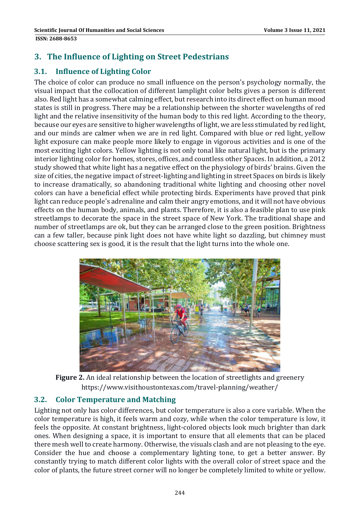## **3. The Influence of Lighting on Street Pedestrians**

## **3.1. Influence of Lighting Color**

The choice of color can produce no small influence on the person's psychology normally, the visual impact that the collocation of different lamplight color belts gives a person is different also. Red light has a somewhat calming effect, but research into its direct effect on human mood states is still in progress. There may be a relationship between the shorter wavelengths of red light and the relative insensitivity of the human body to this red light. According to the theory, because our eyes are sensitive to higher wavelengths of light, we are less stimulated by red light, and our minds are calmer when we are in red light. Compared with blue or red light, yellow light exposure can make people more likely to engage in vigorous activities and is one of the most exciting light colors. Yellow lighting is not only tonal like natural light, but is the primary interior lighting color for homes, stores, offices, and countless other Spaces. In addition, a 2012 study showed that white light has a negative effect on the physiology of birds' brains. Given the size of cities, the negative impact of street-lighting and lighting in street Spaces on birds is likely to increase dramatically, so abandoning traditional white lighting and choosing other novel colors can have a beneficial effect while protecting birds. Experiments have proved that pink light can reduce people's adrenaline and calm their angry emotions, and it will not have obvious effects on the human body, animals, and plants. Therefore, it is also a feasible plan to use pink streetlamps to decorate the space in the street space of New York. The traditional shape and number of streetlamps are ok, but they can be arranged close to the green position. Brightness can a few taller, because pink light does not have white light so dazzling, but chimney must choose scattering sex is good, it is the result that the light turns into the whole one.



**Figure 2.** An ideal relationship between the location of streetlights and greenery https://www.visithoustontexas.com/travel‐planning/weather/ 

### **3.2. Color Temperature and Matching**

Lighting not only has color differences, but color temperature is also a core variable. When the color temperature is high, it feels warm and cozy, while when the color temperature is low, it feels the opposite. At constant brightness, light-colored objects look much brighter than dark ones. When designing a space, it is important to ensure that all elements that can be placed there mesh well to create harmony. Otherwise, the visuals clash and are not pleasing to the eye. Consider the hue and choose a complementary lighting tone, to get a better answer. By constantly trying to match different color lights with the overall color of street space and the color of plants, the future street corner will no longer be completely limited to white or yellow.